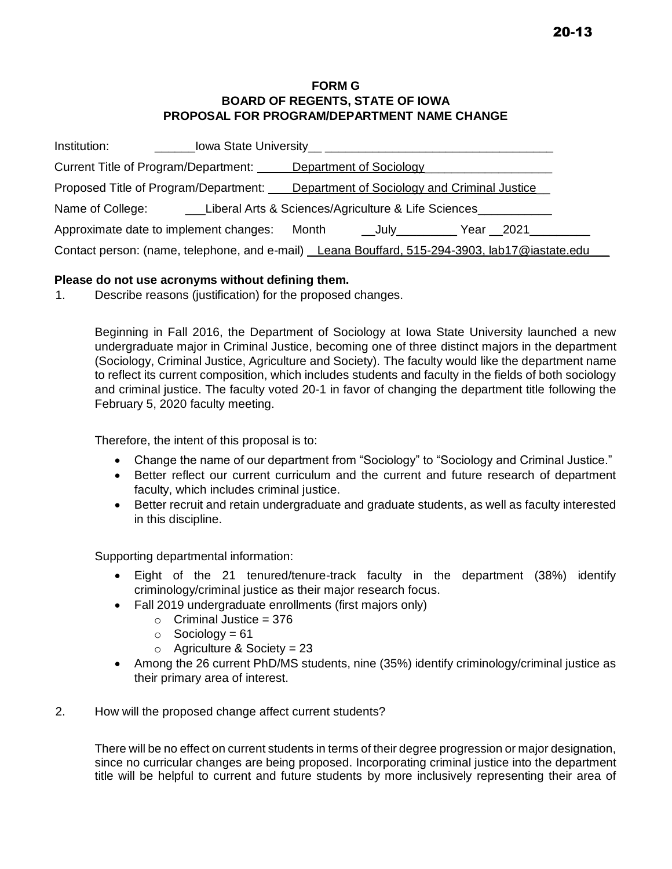## **FORM G BOARD OF REGENTS, STATE OF IOWA PROPOSAL FOR PROGRAM/DEPARTMENT NAME CHANGE**

| Institution:                                                                                  |                                                     |                                              |  |  |
|-----------------------------------------------------------------------------------------------|-----------------------------------------------------|----------------------------------------------|--|--|
| Current Title of Program/Department: _____                                                    |                                                     | Department of Sociology                      |  |  |
| Proposed Title of Program/Department:                                                         |                                                     | Department of Sociology and Criminal Justice |  |  |
| Name of College:                                                                              | Liberal Arts & Sciences/Agriculture & Life Sciences |                                              |  |  |
| Approximate date to implement changes:<br>Month<br>Year __2021_____<br>___July___________     |                                                     |                                              |  |  |
| Contact person: (name, telephone, and e-mail) Leana Bouffard, 515-294-3903, lab17@iastate.edu |                                                     |                                              |  |  |

## **Please do not use acronyms without defining them.**

1. Describe reasons (justification) for the proposed changes.

Beginning in Fall 2016, the Department of Sociology at Iowa State University launched a new undergraduate major in Criminal Justice, becoming one of three distinct majors in the department (Sociology, Criminal Justice, Agriculture and Society). The faculty would like the department name to reflect its current composition, which includes students and faculty in the fields of both sociology and criminal justice. The faculty voted 20-1 in favor of changing the department title following the February 5, 2020 faculty meeting.

Therefore, the intent of this proposal is to:

- Change the name of our department from "Sociology" to "Sociology and Criminal Justice."
- Better reflect our current curriculum and the current and future research of department faculty, which includes criminal justice.
- Better recruit and retain undergraduate and graduate students, as well as faculty interested in this discipline.

Supporting departmental information:

- Eight of the 21 tenured/tenure-track faculty in the department (38%) identify criminology/criminal justice as their major research focus.
- Fall 2019 undergraduate enrollments (first majors only)
	- $\circ$  Criminal Justice = 376
	- $\circ$  Sociology = 61
	- $\circ$  Agriculture & Society = 23
- Among the 26 current PhD/MS students, nine (35%) identify criminology/criminal justice as their primary area of interest.
- 2. How will the proposed change affect current students?

There will be no effect on current students in terms of their degree progression or major designation, since no curricular changes are being proposed. Incorporating criminal justice into the department title will be helpful to current and future students by more inclusively representing their area of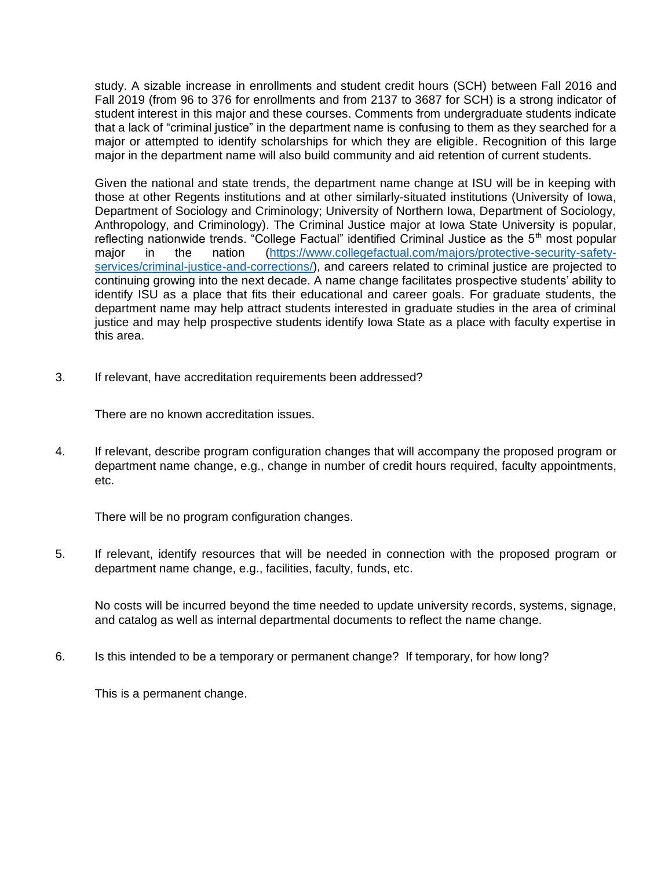study. A sizable increase in enrollments and student credit hours (SCH) between Fall 2016 and Fall 2019 (from 96 to 376 for enrollments and from 2137 to 3687 for SCH) is a strong indicator of student interest in this major and these courses. Comments from undergraduate students indicate that a lack of "criminal justice" in the department name is confusing to them as they searched for a major or attempted to identify scholarships for which they are eligible. Recognition of this large major in the department name will also build community and aid retention of current students.

Given the national and state trends, the department name change at ISU will be in keeping with those at other Regents institutions and at other similarly-situated institutions (University of Iowa, Department of Sociology and Criminology; University of Northern Iowa, Department of Sociology, Anthropology, and Criminology). The Criminal Justice major at Iowa State University is popular, reflecting nationwide trends. "College Factual" identified Criminal Justice as the  $5<sup>th</sup>$  most popular major in the nation [\(https://www.collegefactual.com/majors/protective-security-safety](https://www.collegefactual.com/majors/protective-security-safety-services/criminal-justice-and-corrections/)[services/criminal-justice-and-corrections/\)](https://www.collegefactual.com/majors/protective-security-safety-services/criminal-justice-and-corrections/), and careers related to criminal justice are projected to continuing growing into the next decade. A name change facilitates prospective students' ability to identify ISU as a place that fits their educational and career goals. For graduate students, the department name may help attract students interested in graduate studies in the area of criminal justice and may help prospective students identify Iowa State as a place with faculty expertise in this area.

3. If relevant, have accreditation requirements been addressed?

There are no known accreditation issues.

4. If relevant, describe program configuration changes that will accompany the proposed program or department name change, e.g., change in number of credit hours required, faculty appointments, etc.

There will be no program configuration changes.

5. If relevant, identify resources that will be needed in connection with the proposed program or department name change, e.g., facilities, faculty, funds, etc.

No costs will be incurred beyond the time needed to update university records, systems, signage, and catalog as well as internal departmental documents to reflect the name change.

6. Is this intended to be a temporary or permanent change? If temporary, for how long?

This is a permanent change.